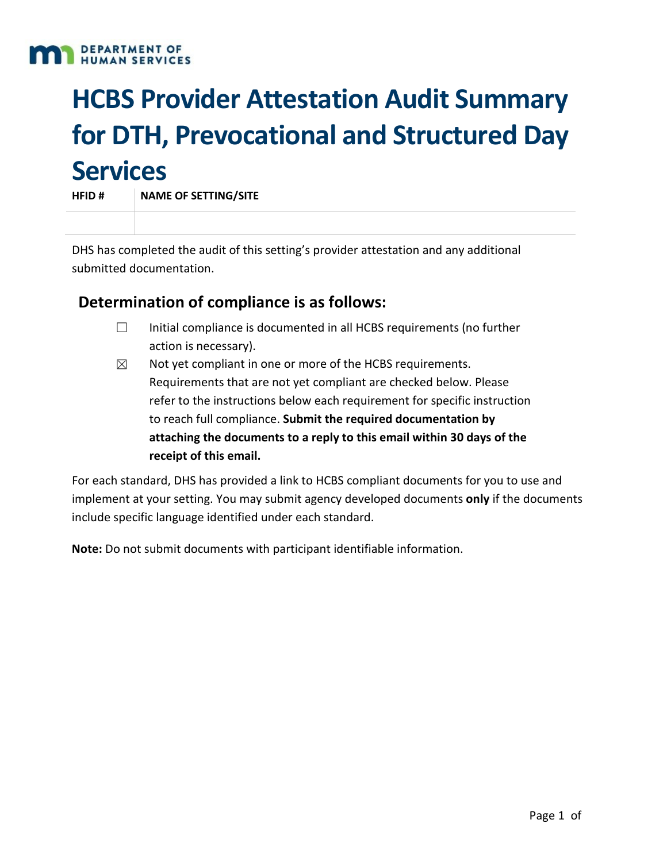#### **DEPARTMENT OF HUMAN SERVICES**

# **HCBS Provider Attestation Audit Summary for DTH, Prevocational and Structured Day Services**

**HFID # NAME OF SETTING/SITE**

DHS has completed the audit of this setting's provider attestation and any additional submitted documentation.

# **Determination of compliance is as follows:**

- ☐ Initial compliance is documented in all HCBS requirements (no further action is necessary).
- $\boxtimes$  Not yet compliant in one or more of the HCBS requirements. Requirements that are not yet compliant are checked below. Please refer to the instructions below each requirement for specific instruction to reach full compliance. **Submit the required documentation by attaching the documents to a reply to this email within 30 days of the receipt of this email.**

For each standard, DHS has provided a link to HCBS compliant documents for you to use and implement at your setting. You may submit agency developed documents **only** if the documents include specific language identified under each standard.

**Note:** Do not submit documents with participant identifiable information.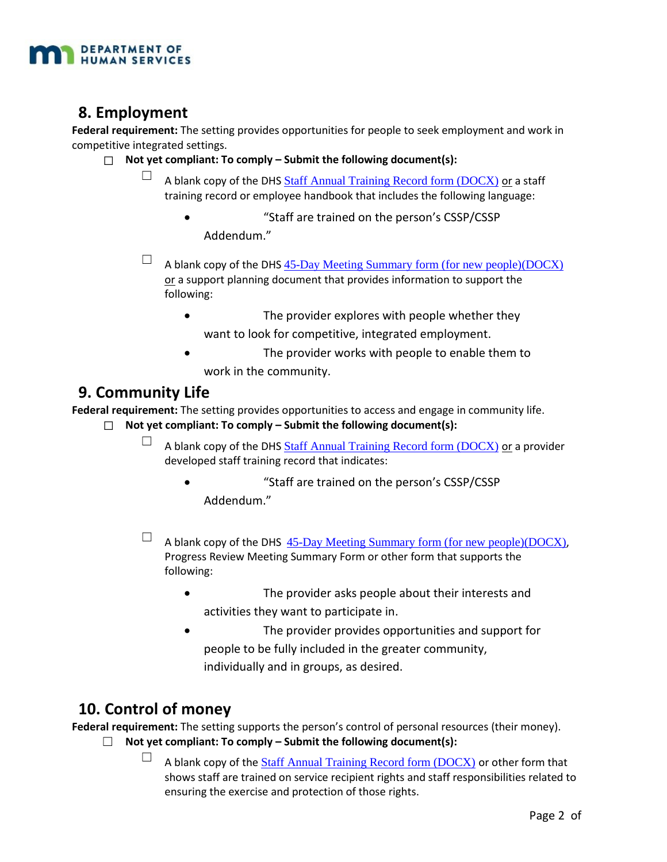

# **8. Employment**

**Federal requirement:** The setting provides opportunities for people to seek employment and work in competitive integrated settings.

- ☐ **Not yet compliant: To comply Submit the following document(s):**
	- A blank copy of the DHS [Staff Annual Training Record form \(DOCX\)](https://mn.gov/dhs/assets/245d-staff-annual-training-record-sample-document_tcm1053-297313.docx) or a staff training record or employee handbook that includes the following language:
		- "Staff are trained on the person's CSSP/CSSP Addendum."
	- $\Box$  A blank copy of the DHS [45-Day Meeting Summary form \(for new people\)\(DOCX\)](https://mn.gov/dhs/assets/245d-45-day-meeting-summary-sample-document_tcm1053-297069.doc) or a support planning document that provides information to support the following:
		- The provider explores with people whether they
		- want to look for competitive, integrated employment.
		- The provider works with people to enable them to work in the community.

## **9. Community Life**

**Federal requirement:** The setting provides opportunities to access and engage in community life.

- ☐ **Not yet compliant: To comply Submit the following document(s):**
	- $\Box$  A blank copy of the DHS [Staff Annual Training Record form \(DOCX\)](https://mn.gov/dhs/assets/245d-staff-annual-training-record-sample-document_tcm1053-297313.docx) or a provider developed staff training record that indicates:
		- "Staff are trained on the person's CSSP/CSSP Addendum."
	- $\Box$  A blank copy of the DHS [45-Day Meeting Summary form \(for new people\)\(DOCX\)](https://mn.gov/dhs/assets/245d-45-day-meeting-summary-sample-document_tcm1053-297069.doc), Progress Review Meeting Summary Form or other form that supports the following:
		- The provider asks people about their interests and activities they want to participate in.
		- The provider provides opportunities and support for people to be fully included in the greater community, individually and in groups, as desired.

# **10. Control of money**

**Federal requirement:** The setting supports the person's control of personal resources (their money).

- ☐ **Not yet compliant: To comply Submit the following document(s):**
	- $\Box$  A blank copy of the [Staff Annual Training Record form \(DOCX\)](https://mn.gov/dhs/assets/245d-staff-annual-training-record-sample-document_tcm1053-297313.docx) or other form that shows staff are trained on service recipient rights and staff responsibilities related to ensuring the exercise and protection of those rights.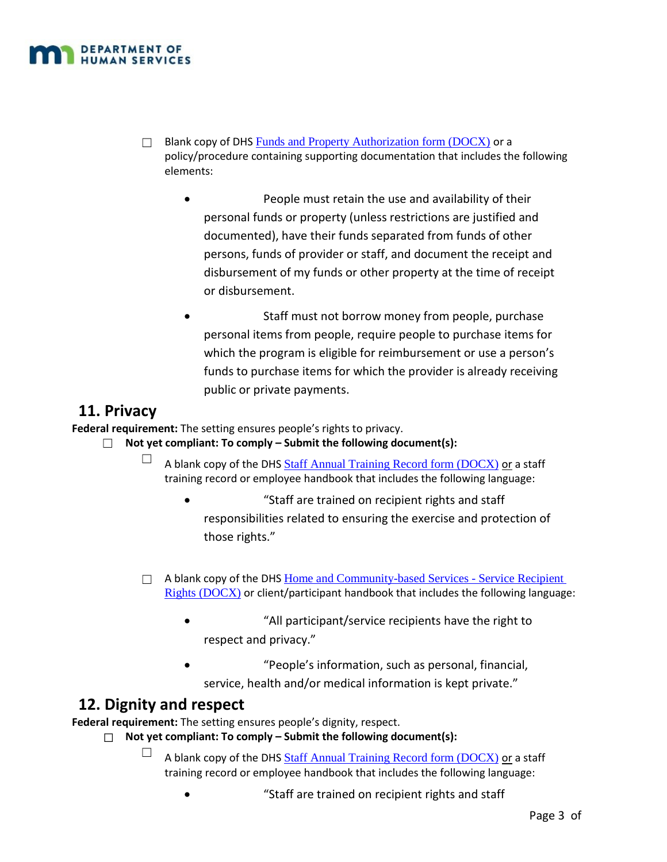

- □ Blank copy of DHS [Funds and Property Authorization form \(DOCX\)](https://mn.gov/dhs/assets/245d-funds-and-property-authorization-sample-document_tcm1053-297263.doc) or a policy/procedure containing supporting documentation that includes the following elements:
	- People must retain the use and availability of their personal funds or property (unless restrictions are justified and documented), have their funds separated from funds of other persons, funds of provider or staff, and document the receipt and disbursement of my funds or other property at the time of receipt or disbursement.
	- Staff must not borrow money from people, purchase personal items from people, require people to purchase items for which the program is eligible for reimbursement or use a person's funds to purchase items for which the provider is already receiving public or private payments.

## **11. Privacy**

**Federal requirement:** The setting ensures people's rights to privacy.

#### ☐ **Not yet compliant: To comply – Submit the following document(s):**

- $\Box$  A blank copy of the DHS [Staff Annual Training Record form \(DOCX\)](https://mn.gov/dhs/assets/245d-staff-annual-training-record-sample-document_tcm1053-297313.docx) or a staff training record or employee handbook that includes the following language:
	- "Staff are trained on recipient rights and staff responsibilities related to ensuring the exercise and protection of those rights."
- $\Box$  A blank copy of the DHS Home and Community-based Services Service Recipient [Rights \(DOCX\)](https://mn.gov/dhs/assets/245d-service-recipient-rights-packet-sample-document_tcm1053-302528.doc) or client/participant handbook that includes the following language:
	- "All participant/service recipients have the right to respect and privacy."
	- "People's information, such as personal, financial, service, health and/or medical information is kept private."

## **12. Dignity and respect**

**Federal requirement:** The setting ensures people's dignity, respect.

- ☐ **Not yet compliant: To comply Submit the following document(s):**
	- $\Box$  A blank copy of the DHS [Staff Annual Training Record form \(DOCX\)](https://mn.gov/dhs/assets/245d-staff-annual-training-record-sample-document_tcm1053-297313.docx) or a staff training record or employee handbook that includes the following language:
		- "Staff are trained on recipient rights and staff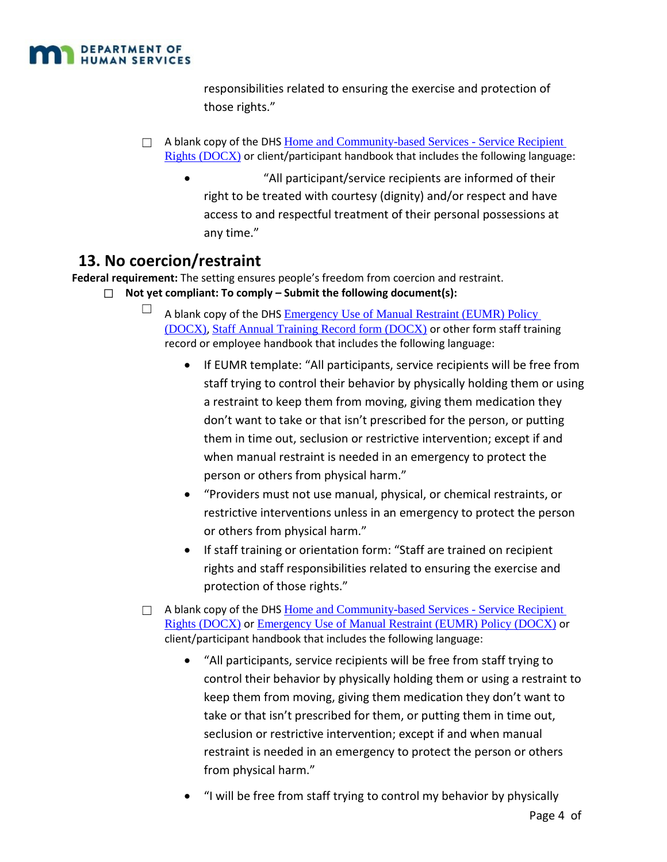

responsibilities related to ensuring the exercise and protection of those rights."

- $\Box$  A blank copy of the DHS Home and Community-based Services Service Recipient [Rights \(DOCX\)](https://mn.gov/dhs/assets/245d-service-recipient-rights-packet-sample-document_tcm1053-302528.doc) or client/participant handbook that includes the following language:
	- "All participant/service recipients are informed of their right to be treated with courtesy (dignity) and/or respect and have access to and respectful treatment of their personal possessions at any time."

# **13. No coercion/restraint**

**Federal requirement:** The setting ensures people's freedom from coercion and restraint.

- ☐ **Not yet compliant: To comply Submit the following document(s):**
	- $\Box$  A blank copy of the DHS Emergency Use of Manual Restraint (EUMR) Policy [\(DOCX\)](https://mn.gov/dhs/assets/245d-emergency-use-of-manual-restraints-not-allowed-policy-sample-document_tcm1053-338772.docx), [Staff Annual Training Record form \(DOCX\)](https://mn.gov/dhs/assets/245d-staff-annual-training-record-sample-document_tcm1053-297313.docx) or other form staff training record or employee handbook that includes the following language:
		- If EUMR template: "All participants, service recipients will be free from staff trying to control their behavior by physically holding them or using a restraint to keep them from moving, giving them medication they don't want to take or that isn't prescribed for the person, or putting them in time out, seclusion or restrictive intervention; except if and when manual restraint is needed in an emergency to protect the person or others from physical harm."
		- "Providers must not use manual, physical, or chemical restraints, or restrictive interventions unless in an emergency to protect the person or others from physical harm."
		- If staff training or orientation form: "Staff are trained on recipient rights and staff responsibilities related to ensuring the exercise and protection of those rights."
	- □ A blank copy of the DHS Home and Community-based Services Service Recipient [Rights \(DOCX\)](https://mn.gov/dhs/assets/245d-service-recipient-rights-packet-sample-document_tcm1053-302528.doc) or [Emergency Use of Manual Restraint \(EUMR\) Policy \(DOCX\)](https://mn.gov/dhs/assets/245d-emergency-use-of-manual-restraints-not-allowed-policy-sample-document_tcm1053-338772.docx) or client/participant handbook that includes the following language:
		- "All participants, service recipients will be free from staff trying to control their behavior by physically holding them or using a restraint to keep them from moving, giving them medication they don't want to take or that isn't prescribed for them, or putting them in time out, seclusion or restrictive intervention; except if and when manual restraint is needed in an emergency to protect the person or others from physical harm."
		- "I will be free from staff trying to control my behavior by physically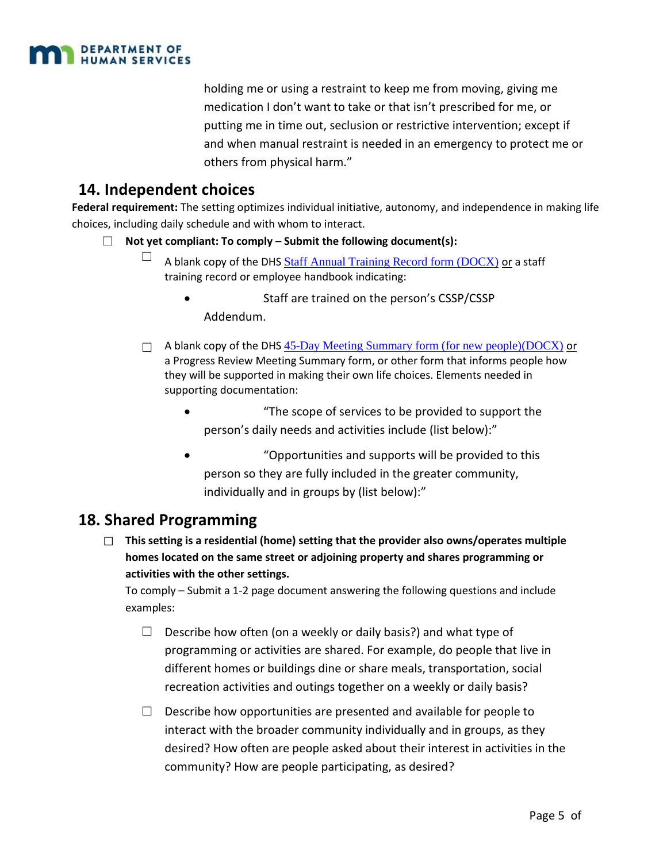

holding me or using a restraint to keep me from moving, giving me medication I don't want to take or that isn't prescribed for me, or putting me in time out, seclusion or restrictive intervention; except if and when manual restraint is needed in an emergency to protect me or others from physical harm."

# **14. Independent choices**

**Federal requirement:** The setting optimizes individual initiative, autonomy, and independence in making life choices, including daily schedule and with whom to interact.

- ☐ **Not yet compliant: To comply Submit the following document(s):**
	- $\Box$  A blank copy of the DHS [Staff Annual Training Record form \(DOCX\)](https://mn.gov/dhs/assets/245d-staff-annual-training-record-sample-document_tcm1053-297313.docx) or a staff training record or employee handbook indicating:
		- Staff are trained on the person's CSSP/CSSP Addendum.
	- $\Box$  A blank copy of the DHS  $45$ -Day Meeting Summary form (for new people)(DOCX) or a Progress Review Meeting Summary form, or other form that informs people how they will be supported in making their own life choices. Elements needed in supporting documentation:
		- "The scope of services to be provided to support the person's daily needs and activities include (list below):"
		- "Opportunities and supports will be provided to this person so they are fully included in the greater community, individually and in groups by (list below):"

## **18. Shared Programming**

☐ **This setting is a residential (home) setting that the provider also owns/operates multiple homes located on the same street or adjoining property and shares programming or activities with the other settings.**

To comply – Submit a 1-2 page document answering the following questions and include examples:

- $\Box$  Describe how often (on a weekly or daily basis?) and what type of programming or activities are shared. For example, do people that live in different homes or buildings dine or share meals, transportation, social recreation activities and outings together on a weekly or daily basis?
- $\Box$  Describe how opportunities are presented and available for people to interact with the broader community individually and in groups, as they desired? How often are people asked about their interest in activities in the community? How are people participating, as desired?